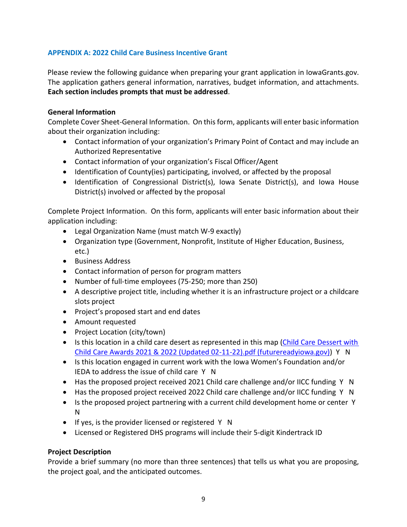# **APPENDIX A: 2022 Child Care Business Incentive Grant**

Please review the following guidance when preparing your grant application in IowaGrants.gov. The application gathers general information, narratives, budget information, and attachments. **Each section includes prompts that must be addressed**.

### **General Information**

Complete Cover Sheet-General Information. On this form, applicants will enter basic information about their organization including:

- Contact information of your organization's Primary Point of Contact and may include an Authorized Representative
- Contact information of your organization's Fiscal Officer/Agent
- Identification of County(ies) participating, involved, or affected by the proposal
- Identification of Congressional District(s), Iowa Senate District(s), and Iowa House District(s) involved or affected by the proposal

Complete Project Information. On this form, applicants will enter basic information about their application including:

- Legal Organization Name (must match W-9 exactly)
- Organization type (Government, Nonprofit, Institute of Higher Education, Business, etc.)
- Business Address
- Contact information of person for program matters
- Number of full-time employees (75-250; more than 250)
- A descriptive project title, including whether it is an infrastructure project or a childcare slots project
- Project's proposed start and end dates
- Amount requested
- Project Location (city/town)
- Is this location in a child care desert as represented in this map (Child Care Dessert with [Child Care Awards 2021 & 2022 \(Updated 02-11-22\).pdf \(futurereadyiowa.gov\)\)](https://www.futurereadyiowa.gov/sites/fri/files/basic_page_files/Child%20Care%20Dessert%20with%20Child%20Care%20Awards%202021%20%26%202022%20%28Updated%2002-11-22%29.pdf) Y N
- Is this location engaged in current work with the Iowa Women's Foundation and/or IEDA to address the issue of child care Y N
- Has the proposed project received 2021 Child care challenge and/or IICC funding Y N
- Has the proposed project received 2022 Child care challenge and/or IICC funding Y N
- Is the proposed project partnering with a current child development home or center Y N
- If yes, is the provider licensed or registered Y N
- Licensed or Registered DHS programs will include their 5-digit Kindertrack ID

# **Project Description**

Provide a brief summary (no more than three sentences) that tells us what you are proposing, the project goal, and the anticipated outcomes.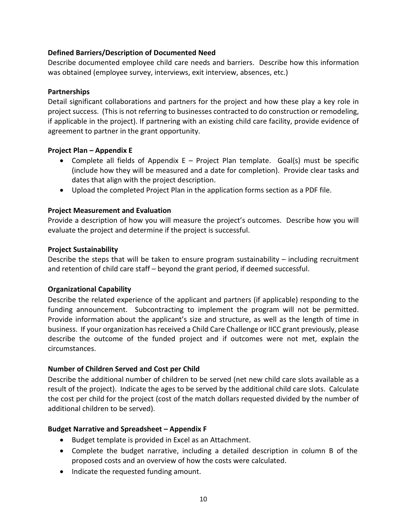## **Defined Barriers/Description of Documented Need**

Describe documented employee child care needs and barriers. Describe how this information was obtained (employee survey, interviews, exit interview, absences, etc.)

#### **Partnerships**

Detail significant collaborations and partners for the project and how these play a key role in project success. (This is not referring to businesses contracted to do construction or remodeling, if applicable in the project). If partnering with an existing child care facility, provide evidence of agreement to partner in the grant opportunity.

#### **Project Plan – Appendix E**

- Complete all fields of Appendix E Project Plan template. Goal(s) must be specific (include how they will be measured and a date for completion). Provide clear tasks and dates that align with the project description.
- Upload the completed Project Plan in the application forms section as a PDF file.

# **Project Measurement and Evaluation**

Provide a description of how you will measure the project's outcomes. Describe how you will evaluate the project and determine if the project is successful.

#### **Project Sustainability**

Describe the steps that will be taken to ensure program sustainability – including recruitment and retention of child care staff – beyond the grant period, if deemed successful.

#### **Organizational Capability**

Describe the related experience of the applicant and partners (if applicable) responding to the funding announcement. Subcontracting to implement the program will not be permitted. Provide information about the applicant's size and structure, as well as the length of time in business. If your organization has received a Child Care Challenge or IICC grant previously, please describe the outcome of the funded project and if outcomes were not met, explain the circumstances.

#### **Number of Children Served and Cost per Child**

Describe the additional number of children to be served (net new child care slots available as a result of the project). Indicate the ages to be served by the additional child care slots. Calculate the cost per child for the project (cost of the match dollars requested divided by the number of additional children to be served).

#### **Budget Narrative and Spreadsheet – Appendix F**

- Budget template is provided in Excel as an Attachment.
- Complete the budget narrative, including a detailed description in column B of the proposed costs and an overview of how the costs were calculated.
- Indicate the requested funding amount.